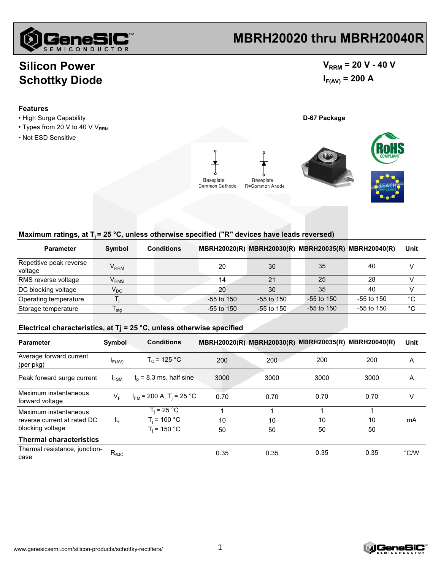

## **MBRH20020 thru MBRH20040R**

### **Silicon Power Schottky Diode**

### $V_{RRM}$  = 20 V - 40 V  $I_{F(AV)} = 200 A$

#### **Features**

- High Surge Capability **D-67 Package**
- $\cdot$  Types from 20 V to 40 V V<sub>RRM</sub>
- Not ESD Sensitive





#### Maximum ratings, at T<sub>i</sub> = 25 °C, unless otherwise specified ("R" devices have leads reversed)

| <b>Parameter</b>                   | Symbol                      | <b>Conditions</b> |              |                | MBRH20020(R) MBRH20030(R) MBRH20035(R) MBRH20040(R) |              | Unit         |
|------------------------------------|-----------------------------|-------------------|--------------|----------------|-----------------------------------------------------|--------------|--------------|
| Repetitive peak reverse<br>voltage | $V_{RRM}$                   |                   | 20           | 30             | 35                                                  | 40           |              |
| RMS reverse voltage                | $\mathsf{V}_{\mathsf{RMS}}$ |                   | 14           | 21             | 25                                                  | 28           |              |
| DC blocking voltage                | $\mathsf{V}_\mathsf{DC}$    |                   | 20           | 30             | 35                                                  | 40           |              |
| Operating temperature              |                             |                   | $-55$ to 150 | $-55$ to $150$ | $-55$ to 150                                        | $-55$ to 150 | $^{\circ}$ C |
| Storage temperature                | I stg                       |                   | $-55$ to 150 | $-55$ to 150   | -55 to 150                                          | $-55$ to 150 | °C           |

#### **Electrical characteristics, at Tj = 25 °C, unless otherwise specified**

| <b>Parameter</b>                                                         | Symbol         | <b>Conditions</b>                                 |          | MBRH20020(R) MBRH20030(R) MBRH20035(R) MBRH20040(R) |               |          | Unit          |
|--------------------------------------------------------------------------|----------------|---------------------------------------------------|----------|-----------------------------------------------------|---------------|----------|---------------|
| Average forward current<br>(per pkg)                                     | F(AV)          | $T_c = 125 °C$                                    | 200      | 200                                                 | 200           | 200      | A             |
| Peak forward surge current                                               | $I_{FSM}$      | $t_0$ = 8.3 ms, half sine                         | 3000     | 3000                                                | 3000          | 3000     | A             |
| Maximum instantaneous<br>forward voltage                                 | $V_{F}$        | $I_{FM}$ = 200 A, T <sub>i</sub> = 25 °C          | 0.70     | 0.70                                                | 0.70          | 0.70     | ٧             |
| Maximum instantaneous<br>reverse current at rated DC<br>blocking voltage | ΙŖ             | $T_i = 25 °C$<br>$T_i$ = 100 °C<br>$T_i$ = 150 °C | 10<br>50 | 4<br>10<br>50                                       | 4<br>10<br>50 | 10<br>50 | mA            |
| <b>Thermal characteristics</b>                                           |                |                                                   |          |                                                     |               |          |               |
| Thermal resistance, junction-<br>case                                    | $R_{\theta$ JC |                                                   | 0.35     | 0.35                                                | 0.35          | 0.35     | $\degree$ C/W |

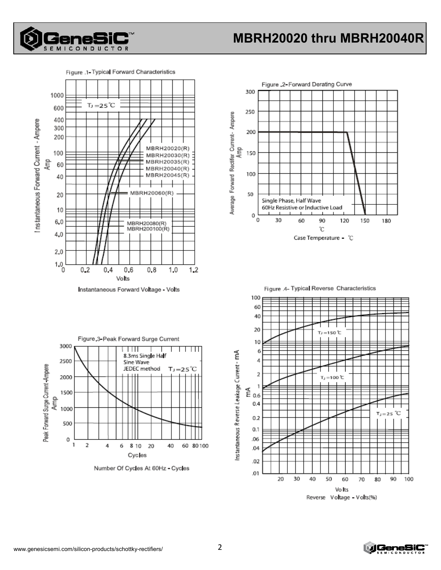

# MBRH20020 thru MBRH20040R





Instantaneous Forward Voltage - Volts



Number Of Cycles At 60Hz - Cycles